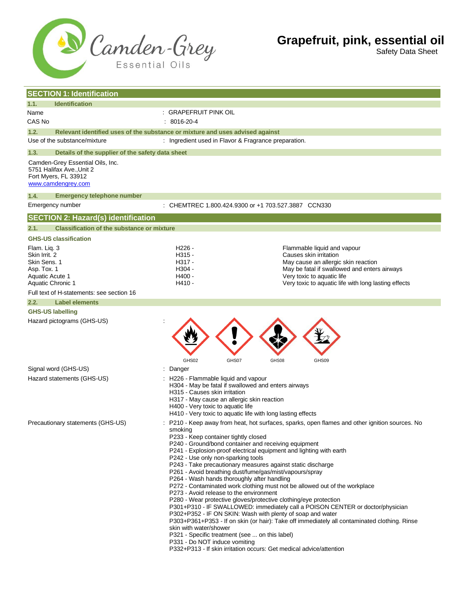

Safety Data Sheet

| <b>SECTION 1: Identification</b>                                                                                                                  |                                                                                                                                                                                                                                                                                                                                                                                                                                                                                                                                                                                                                                                                                                                                                                                                                                                                                                                                                                                                                                                                                                                                |                                                                                                                                                                                                                                    |
|---------------------------------------------------------------------------------------------------------------------------------------------------|--------------------------------------------------------------------------------------------------------------------------------------------------------------------------------------------------------------------------------------------------------------------------------------------------------------------------------------------------------------------------------------------------------------------------------------------------------------------------------------------------------------------------------------------------------------------------------------------------------------------------------------------------------------------------------------------------------------------------------------------------------------------------------------------------------------------------------------------------------------------------------------------------------------------------------------------------------------------------------------------------------------------------------------------------------------------------------------------------------------------------------|------------------------------------------------------------------------------------------------------------------------------------------------------------------------------------------------------------------------------------|
|                                                                                                                                                   |                                                                                                                                                                                                                                                                                                                                                                                                                                                                                                                                                                                                                                                                                                                                                                                                                                                                                                                                                                                                                                                                                                                                |                                                                                                                                                                                                                                    |
| 1.1.<br><b>Identification</b><br>Name                                                                                                             | : GRAPEFRUIT PINK OIL                                                                                                                                                                                                                                                                                                                                                                                                                                                                                                                                                                                                                                                                                                                                                                                                                                                                                                                                                                                                                                                                                                          |                                                                                                                                                                                                                                    |
| CAS No                                                                                                                                            | $: 8016 - 20 - 4$                                                                                                                                                                                                                                                                                                                                                                                                                                                                                                                                                                                                                                                                                                                                                                                                                                                                                                                                                                                                                                                                                                              |                                                                                                                                                                                                                                    |
|                                                                                                                                                   |                                                                                                                                                                                                                                                                                                                                                                                                                                                                                                                                                                                                                                                                                                                                                                                                                                                                                                                                                                                                                                                                                                                                |                                                                                                                                                                                                                                    |
| 1.2.<br>Relevant identified uses of the substance or mixture and uses advised against<br>Use of the substance/mixture                             | : Ingredient used in Flavor & Fragrance preparation.                                                                                                                                                                                                                                                                                                                                                                                                                                                                                                                                                                                                                                                                                                                                                                                                                                                                                                                                                                                                                                                                           |                                                                                                                                                                                                                                    |
| 1.3.<br>Details of the supplier of the safety data sheet                                                                                          |                                                                                                                                                                                                                                                                                                                                                                                                                                                                                                                                                                                                                                                                                                                                                                                                                                                                                                                                                                                                                                                                                                                                |                                                                                                                                                                                                                                    |
| Camden-Grey Essential Oils, Inc.<br>5751 Halifax Ave., Unit 2<br>Fort Myers, FL 33912<br>www.camdengrey.com                                       |                                                                                                                                                                                                                                                                                                                                                                                                                                                                                                                                                                                                                                                                                                                                                                                                                                                                                                                                                                                                                                                                                                                                |                                                                                                                                                                                                                                    |
| <b>Emergency telephone number</b><br>1.4.                                                                                                         |                                                                                                                                                                                                                                                                                                                                                                                                                                                                                                                                                                                                                                                                                                                                                                                                                                                                                                                                                                                                                                                                                                                                |                                                                                                                                                                                                                                    |
| Emergency number                                                                                                                                  |                                                                                                                                                                                                                                                                                                                                                                                                                                                                                                                                                                                                                                                                                                                                                                                                                                                                                                                                                                                                                                                                                                                                | : CHEMTREC 1.800.424.9300 or +1 703.527.3887 CCN330                                                                                                                                                                                |
| <b>SECTION 2: Hazard(s) identification</b>                                                                                                        |                                                                                                                                                                                                                                                                                                                                                                                                                                                                                                                                                                                                                                                                                                                                                                                                                                                                                                                                                                                                                                                                                                                                |                                                                                                                                                                                                                                    |
| <b>Classification of the substance or mixture</b><br>2.1.                                                                                         |                                                                                                                                                                                                                                                                                                                                                                                                                                                                                                                                                                                                                                                                                                                                                                                                                                                                                                                                                                                                                                                                                                                                |                                                                                                                                                                                                                                    |
| <b>GHS-US classification</b>                                                                                                                      |                                                                                                                                                                                                                                                                                                                                                                                                                                                                                                                                                                                                                                                                                                                                                                                                                                                                                                                                                                                                                                                                                                                                |                                                                                                                                                                                                                                    |
| Flam. Liq. 3<br>Skin Irrit, 2<br>Skin Sens. 1<br>Asp. Tox. 1<br>Aquatic Acute 1<br>Aquatic Chronic 1<br>Full text of H-statements: see section 16 | H <sub>226</sub> -<br>H315 -<br>H317 -<br>H304 -<br>H400 -<br>H410 -                                                                                                                                                                                                                                                                                                                                                                                                                                                                                                                                                                                                                                                                                                                                                                                                                                                                                                                                                                                                                                                           | Flammable liquid and vapour<br>Causes skin irritation<br>May cause an allergic skin reaction<br>May be fatal if swallowed and enters airways<br>Very toxic to aquatic life<br>Very toxic to aquatic life with long lasting effects |
| 2.2.<br><b>Label elements</b>                                                                                                                     |                                                                                                                                                                                                                                                                                                                                                                                                                                                                                                                                                                                                                                                                                                                                                                                                                                                                                                                                                                                                                                                                                                                                |                                                                                                                                                                                                                                    |
| <b>GHS-US labelling</b>                                                                                                                           |                                                                                                                                                                                                                                                                                                                                                                                                                                                                                                                                                                                                                                                                                                                                                                                                                                                                                                                                                                                                                                                                                                                                |                                                                                                                                                                                                                                    |
| Hazard pictograms (GHS-US)                                                                                                                        | GHS02<br>GHS07                                                                                                                                                                                                                                                                                                                                                                                                                                                                                                                                                                                                                                                                                                                                                                                                                                                                                                                                                                                                                                                                                                                 | GHS08<br>GHS09                                                                                                                                                                                                                     |
| Signal word (GHS-US)                                                                                                                              | : Danger                                                                                                                                                                                                                                                                                                                                                                                                                                                                                                                                                                                                                                                                                                                                                                                                                                                                                                                                                                                                                                                                                                                       |                                                                                                                                                                                                                                    |
| Hazard statements (GHS-US)                                                                                                                        | : H226 - Flammable liquid and vapour<br>H304 - May be fatal if swallowed and enters airways<br>H315 - Causes skin irritation<br>H317 - May cause an allergic skin reaction<br>H400 - Very toxic to aquatic life                                                                                                                                                                                                                                                                                                                                                                                                                                                                                                                                                                                                                                                                                                                                                                                                                                                                                                                | H410 - Very toxic to aquatic life with long lasting effects                                                                                                                                                                        |
| Precautionary statements (GHS-US)                                                                                                                 | P210 - Keep away from heat, hot surfaces, sparks, open flames and other ignition sources. No<br>smoking<br>P233 - Keep container tightly closed<br>P240 - Ground/bond container and receiving equipment<br>P241 - Explosion-proof electrical equipment and lighting with earth<br>P242 - Use only non-sparking tools<br>P243 - Take precautionary measures against static discharge<br>P261 - Avoid breathing dust/fume/gas/mist/vapours/spray<br>P264 - Wash hands thoroughly after handling<br>P272 - Contaminated work clothing must not be allowed out of the workplace<br>P273 - Avoid release to the environment<br>P280 - Wear protective gloves/protective clothing/eye protection<br>P301+P310 - IF SWALLOWED: immediately call a POISON CENTER or doctor/physician<br>P302+P352 - IF ON SKIN: Wash with plenty of soap and water<br>P303+P361+P353 - If on skin (or hair): Take off immediately all contaminated clothing. Rinse<br>skin with water/shower<br>P321 - Specific treatment (see  on this label)<br>P331 - Do NOT induce vomiting<br>P332+P313 - If skin irritation occurs: Get medical advice/attention |                                                                                                                                                                                                                                    |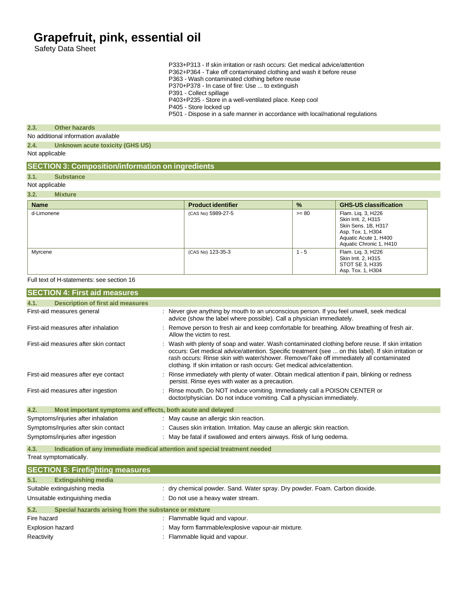Safety Data Sheet

P333+P313 - If skin irritation or rash occurs: Get medical advice/attention

P362+P364 - Take off contaminated clothing and wash it before reuse

- P363 Wash contaminated clothing before reuse
- P370+P378 In case of fire: Use ... to extinguish
- P391 Collect spillage
- P403+P235 Store in a well-ventilated place. Keep cool
- P405 Store locked up
- P501 Dispose in a safe manner in accordance with local/national regulations

#### **2.3. Other hazards**

No additional information available

**2.4. Unknown acute toxicity (GHS US)**

Not applicable

### **SECTION 3: Composition/information on ingredients**

#### **3.1. Substance**

Not applicable

#### **3.2. Mixture**

| <b>Name</b> | <b>Product identifier</b> | $\%$    | <b>GHS-US classification</b>                                                                                                              |
|-------------|---------------------------|---------|-------------------------------------------------------------------------------------------------------------------------------------------|
| d-Limonene  | (CAS No) 5989-27-5        | $>= 80$ | Flam. Liq. 3, H226<br>Skin Irrit. 2, H315<br>Skin Sens. 1B, H317<br>Asp. Tox. 1, H304<br>Aquatic Acute 1, H400<br>Aquatic Chronic 1, H410 |
| Myrcene     | (CAS No) 123-35-3         | $1 - 5$ | Flam. Lig. 3, H226<br>Skin Irrit. 2, H315<br>STOT SE 3, H335<br>Asp. Tox. 1, H304                                                         |

#### Full text of H-statements: see section 16

| <b>SECTION 4: First aid measures</b>                                                                               |                                                                                                                                                                                                                                                                                                                                                                                    |
|--------------------------------------------------------------------------------------------------------------------|------------------------------------------------------------------------------------------------------------------------------------------------------------------------------------------------------------------------------------------------------------------------------------------------------------------------------------------------------------------------------------|
| <b>Description of first aid measures</b><br>4.1.                                                                   |                                                                                                                                                                                                                                                                                                                                                                                    |
| First-aid measures general                                                                                         | : Never give anything by mouth to an unconscious person. If you feel unwell, seek medical<br>advice (show the label where possible). Call a physician immediately.                                                                                                                                                                                                                 |
| First-aid measures after inhalation                                                                                | : Remove person to fresh air and keep comfortable for breathing. Allow breathing of fresh air.<br>Allow the victim to rest.                                                                                                                                                                                                                                                        |
| First-aid measures after skin contact                                                                              | : Wash with plenty of soap and water. Wash contaminated clothing before reuse. If skin irritation<br>occurs: Get medical advice/attention. Specific treatment (see  on this label). If skin irritation or<br>rash occurs: Rinse skin with water/shower. Remove/Take off immediately all contaminated<br>clothing. If skin irritation or rash occurs: Get medical advice/attention. |
| First-aid measures after eye contact                                                                               | : Rinse immediately with plenty of water. Obtain medical attention if pain, blinking or redness<br>persist. Rinse eyes with water as a precaution.                                                                                                                                                                                                                                 |
| First-aid measures after ingestion                                                                                 | : Rinse mouth. Do NOT induce vomiting. Immediately call a POISON CENTER or<br>doctor/physician. Do not induce vomiting. Call a physician immediately.                                                                                                                                                                                                                              |
| 4.2.<br>Most important symptoms and effects, both acute and delayed                                                |                                                                                                                                                                                                                                                                                                                                                                                    |
| Symptoms/injuries after inhalation                                                                                 | : May cause an allergic skin reaction.                                                                                                                                                                                                                                                                                                                                             |
| : Causes skin irritation. Irritation. May cause an allergic skin reaction.<br>Symptoms/injuries after skin contact |                                                                                                                                                                                                                                                                                                                                                                                    |
| Symptoms/injuries after ingestion                                                                                  | : May be fatal if swallowed and enters airways. Risk of lung oedema.                                                                                                                                                                                                                                                                                                               |
| 4.3.                                                                                                               | Indication of any immediate medical attention and special treatment needed                                                                                                                                                                                                                                                                                                         |
| $\overline{\mathbf{T}}$ and an interest of a set of $\mathbf{I}$ and $\mathbf{II}$ and                             |                                                                                                                                                                                                                                                                                                                                                                                    |

Treat symptomatically.

|                         | <b>SECTION 5: Firefighting measures</b>               |                                                                             |
|-------------------------|-------------------------------------------------------|-----------------------------------------------------------------------------|
| 5.1.                    | <b>Extinguishing media</b>                            |                                                                             |
|                         | Suitable extinguishing media                          | : dry chemical powder. Sand. Water spray. Dry powder. Foam. Carbon dioxide. |
|                         | Unsuitable extinguishing media                        | : Do not use a heavy water stream.                                          |
| 5.2.                    | Special hazards arising from the substance or mixture |                                                                             |
| Fire hazard             |                                                       | : Flammable liquid and vapour.                                              |
| <b>Explosion hazard</b> |                                                       | : May form flammable/explosive vapour-air mixture.                          |
| Reactivity              |                                                       | : Flammable liquid and vapour.                                              |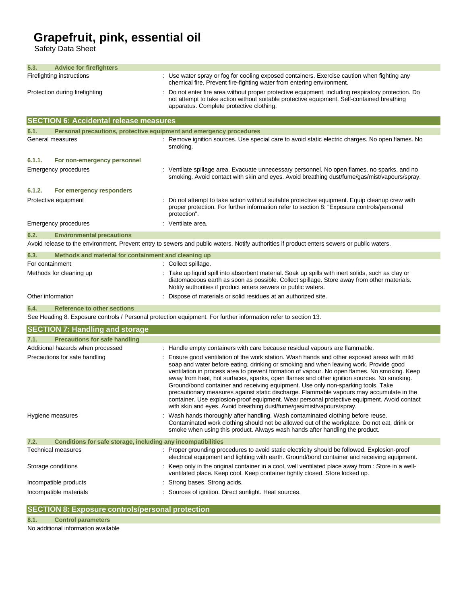Safety Data Sheet

| 5.3.<br><b>Advice for firefighters</b>                                                                                                                                                                                                                                                                                                                                                                                                                                                                                                                                                                                                                                                                                                                                                                                                                |                                                                                                                                                                                                                                                                 |  |  |
|-------------------------------------------------------------------------------------------------------------------------------------------------------------------------------------------------------------------------------------------------------------------------------------------------------------------------------------------------------------------------------------------------------------------------------------------------------------------------------------------------------------------------------------------------------------------------------------------------------------------------------------------------------------------------------------------------------------------------------------------------------------------------------------------------------------------------------------------------------|-----------------------------------------------------------------------------------------------------------------------------------------------------------------------------------------------------------------------------------------------------------------|--|--|
| Firefighting instructions<br>: Use water spray or fog for cooling exposed containers. Exercise caution when fighting any<br>chemical fire. Prevent fire-fighting water from entering environment.                                                                                                                                                                                                                                                                                                                                                                                                                                                                                                                                                                                                                                                     |                                                                                                                                                                                                                                                                 |  |  |
| Protection during firefighting                                                                                                                                                                                                                                                                                                                                                                                                                                                                                                                                                                                                                                                                                                                                                                                                                        | Do not enter fire area without proper protective equipment, including respiratory protection. Do<br>not attempt to take action without suitable protective equipment. Self-contained breathing<br>apparatus. Complete protective clothing.                      |  |  |
| <b>SECTION 6: Accidental release measures</b>                                                                                                                                                                                                                                                                                                                                                                                                                                                                                                                                                                                                                                                                                                                                                                                                         |                                                                                                                                                                                                                                                                 |  |  |
| 6.1.<br>Personal precautions, protective equipment and emergency procedures                                                                                                                                                                                                                                                                                                                                                                                                                                                                                                                                                                                                                                                                                                                                                                           |                                                                                                                                                                                                                                                                 |  |  |
| General measures                                                                                                                                                                                                                                                                                                                                                                                                                                                                                                                                                                                                                                                                                                                                                                                                                                      | : Remove ignition sources. Use special care to avoid static electric charges. No open flames. No<br>smoking.                                                                                                                                                    |  |  |
| 6.1.1.<br>For non-emergency personnel                                                                                                                                                                                                                                                                                                                                                                                                                                                                                                                                                                                                                                                                                                                                                                                                                 |                                                                                                                                                                                                                                                                 |  |  |
| Emergency procedures                                                                                                                                                                                                                                                                                                                                                                                                                                                                                                                                                                                                                                                                                                                                                                                                                                  | : Ventilate spillage area. Evacuate unnecessary personnel. No open flames, no sparks, and no<br>smoking. Avoid contact with skin and eyes. Avoid breathing dust/fume/gas/mist/vapours/spray.                                                                    |  |  |
| 6.1.2.<br>For emergency responders                                                                                                                                                                                                                                                                                                                                                                                                                                                                                                                                                                                                                                                                                                                                                                                                                    |                                                                                                                                                                                                                                                                 |  |  |
| Protective equipment                                                                                                                                                                                                                                                                                                                                                                                                                                                                                                                                                                                                                                                                                                                                                                                                                                  | Do not attempt to take action without suitable protective equipment. Equip cleanup crew with<br>proper protection. For further information refer to section 8: "Exposure controls/personal<br>protection".                                                      |  |  |
| <b>Emergency procedures</b>                                                                                                                                                                                                                                                                                                                                                                                                                                                                                                                                                                                                                                                                                                                                                                                                                           | : Ventilate area.                                                                                                                                                                                                                                               |  |  |
| 6.2.<br><b>Environmental precautions</b>                                                                                                                                                                                                                                                                                                                                                                                                                                                                                                                                                                                                                                                                                                                                                                                                              |                                                                                                                                                                                                                                                                 |  |  |
|                                                                                                                                                                                                                                                                                                                                                                                                                                                                                                                                                                                                                                                                                                                                                                                                                                                       | Avoid release to the environment. Prevent entry to sewers and public waters. Notify authorities if product enters sewers or public waters.                                                                                                                      |  |  |
| 6.3.<br>Methods and material for containment and cleaning up<br>For containment                                                                                                                                                                                                                                                                                                                                                                                                                                                                                                                                                                                                                                                                                                                                                                       | : Collect spillage.                                                                                                                                                                                                                                             |  |  |
| : Take up liquid spill into absorbent material. Soak up spills with inert solids, such as clay or<br>Methods for cleaning up<br>diatomaceous earth as soon as possible. Collect spillage. Store away from other materials.<br>Notify authorities if product enters sewers or public waters.                                                                                                                                                                                                                                                                                                                                                                                                                                                                                                                                                           |                                                                                                                                                                                                                                                                 |  |  |
| Other information                                                                                                                                                                                                                                                                                                                                                                                                                                                                                                                                                                                                                                                                                                                                                                                                                                     | Dispose of materials or solid residues at an authorized site.                                                                                                                                                                                                   |  |  |
| 6.4.<br><b>Reference to other sections</b>                                                                                                                                                                                                                                                                                                                                                                                                                                                                                                                                                                                                                                                                                                                                                                                                            |                                                                                                                                                                                                                                                                 |  |  |
|                                                                                                                                                                                                                                                                                                                                                                                                                                                                                                                                                                                                                                                                                                                                                                                                                                                       | See Heading 8. Exposure controls / Personal protection equipment. For further information refer to section 13.                                                                                                                                                  |  |  |
| <b>SECTION 7: Handling and storage</b>                                                                                                                                                                                                                                                                                                                                                                                                                                                                                                                                                                                                                                                                                                                                                                                                                |                                                                                                                                                                                                                                                                 |  |  |
| 7.1.<br><b>Precautions for safe handling</b><br>Additional hazards when processed                                                                                                                                                                                                                                                                                                                                                                                                                                                                                                                                                                                                                                                                                                                                                                     |                                                                                                                                                                                                                                                                 |  |  |
| Handle empty containers with care because residual vapours are flammable.<br>Precautions for safe handling<br>Ensure good ventilation of the work station. Wash hands and other exposed areas with mild<br>soap and water before eating, drinking or smoking and when leaving work. Provide good<br>ventilation in process area to prevent formation of vapour. No open flames. No smoking. Keep<br>away from heat, hot surfaces, sparks, open flames and other ignition sources. No smoking.<br>Ground/bond container and receiving equipment. Use only non-sparking tools. Take<br>precautionary measures against static discharge. Flammable vapours may accumulate in the<br>container. Use explosion-proof equipment. Wear personal protective equipment. Avoid contact<br>with skin and eyes. Avoid breathing dust/fume/gas/mist/vapours/spray. |                                                                                                                                                                                                                                                                 |  |  |
| Hygiene measures                                                                                                                                                                                                                                                                                                                                                                                                                                                                                                                                                                                                                                                                                                                                                                                                                                      | : Wash hands thoroughly after handling. Wash contaminated clothing before reuse.<br>Contaminated work clothing should not be allowed out of the workplace. Do not eat, drink or<br>smoke when using this product. Always wash hands after handling the product. |  |  |
| 7.2.<br>Conditions for safe storage, including any incompatibilities                                                                                                                                                                                                                                                                                                                                                                                                                                                                                                                                                                                                                                                                                                                                                                                  |                                                                                                                                                                                                                                                                 |  |  |
| <b>Technical measures</b>                                                                                                                                                                                                                                                                                                                                                                                                                                                                                                                                                                                                                                                                                                                                                                                                                             | : Proper grounding procedures to avoid static electricity should be followed. Explosion-proof<br>electrical equipment and lighting with earth. Ground/bond container and receiving equipment.                                                                   |  |  |
| Storage conditions                                                                                                                                                                                                                                                                                                                                                                                                                                                                                                                                                                                                                                                                                                                                                                                                                                    | : Keep only in the original container in a cool, well ventilated place away from : Store in a well-<br>ventilated place. Keep cool. Keep container tightly closed. Store locked up.                                                                             |  |  |
| Incompatible products                                                                                                                                                                                                                                                                                                                                                                                                                                                                                                                                                                                                                                                                                                                                                                                                                                 | Strong bases. Strong acids.                                                                                                                                                                                                                                     |  |  |
| Incompatible materials                                                                                                                                                                                                                                                                                                                                                                                                                                                                                                                                                                                                                                                                                                                                                                                                                                | Sources of ignition. Direct sunlight. Heat sources.                                                                                                                                                                                                             |  |  |
| <b>SECTION 8: Exposure controls/personal protection</b>                                                                                                                                                                                                                                                                                                                                                                                                                                                                                                                                                                                                                                                                                                                                                                                               |                                                                                                                                                                                                                                                                 |  |  |

**8.1. Control parameters**

No additional information available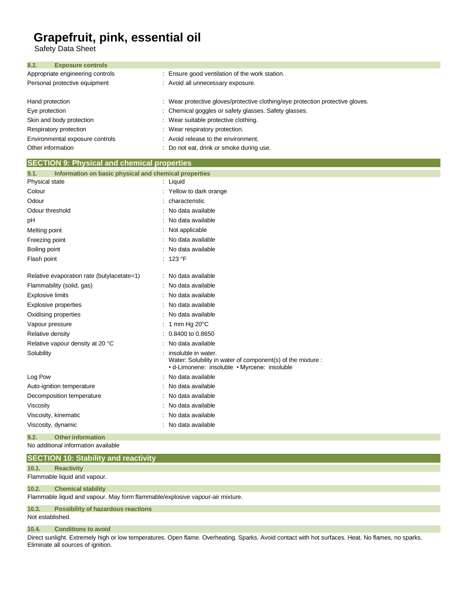Safety Data Sheet

| 8.2.<br><b>Exposure controls</b> |                                                                                |  |
|----------------------------------|--------------------------------------------------------------------------------|--|
| Appropriate engineering controls | : Ensure good ventilation of the work station.                                 |  |
| Personal protective equipment    | : Avoid all unnecessary exposure.                                              |  |
| Hand protection                  | : Wear protective gloves/protective clothing/eye protection protective gloves. |  |
| Eye protection                   | : Chemical goggles or safety glasses. Safety glasses.                          |  |
| Skin and body protection         | : Wear suitable protective clothing.                                           |  |
| Respiratory protection           | : Wear respiratory protection.                                                 |  |
| Environmental exposure controls  | : Avoid release to the environment.                                            |  |
| Other information                | : Do not eat, drink or smoke during use.                                       |  |
|                                  |                                                                                |  |

#### Physical state Colour Odour Odour threshold pH Melting point Freezing point Boiling point Flash point : Liquid : Yellow to dark orange : characteristic : No data available : No data available : Not applicable : No data available : No data available : 123 °F Relative evaporation rate (butylacetate=1) : No data available Flammability (solid, gas) : No data available Explosive limits **Explosive Limits Explosive Limits Explosive Limits Explosive Limits Explosive Limits EXPLOSIVE 2019** Explosive properties **in the set of the set of the set of the set of the set of the set of the set of the set of the set of the set of the set of the set of the set of the set of the set of the set of the set of the set of** Oxidising properties **in the contract of the Contract August** 2012 : No data available Vapour pressure Relative density Relative vapour density at 20 °C **Solubility** : 1 mm Hg 20°C : 0.8400 to 0.8650 : No data available : insoluble in water. Water: Solubility in water of component(s) of the mixture : • d-Limonene: insoluble • Myrcene: insoluble Log Pow : No data available Auto-ignition temperature **interests** : No data available Decomposition temperature **interest and the Composition temperature** : No data available Viscosity **in the COVID-2000** Viscosity **:** No data available Viscosity, kinematic **intervalse in the Contract of Contract Available** : No data available Viscosity, dynamic intervals of the state of the SNs of the Viscosity, dynamic **SECTION 9: Physical and chemical properties 9.1. Information on basic physical and chemical properties**

## **9.2. Otherinformation**

No additional information available

#### **SECTION 10: Stability and reactivity**

**10.1. Reactivity**

### Flammable liquid and vapour.

#### **10.2. Chemical stability**

Flammable liquid and vapour. May form flammable/explosive vapour-air mixture.

#### **10.3. Possibility of hazardous reactions**

Not established.

#### **10.4. Conditions to avoid**

Direct sunlight. Extremely high or low temperatures. Open flame. Overheating. Sparks. Avoid contact with hot surfaces. Heat. No flames, no sparks. Eliminate all sources of ignition.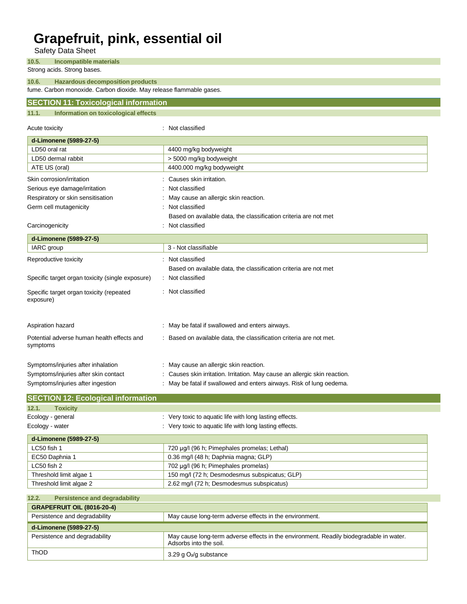Safety Data Sheet

### **10.5. Incompatible materials**

### Strong acids. Strong bases.

**10.6. Hazardous decomposition products**

fume. Carbon monoxide. Carbon dioxide. May release flammable gases.

| ramo. Odrbom monoxido. Odrbom dioxido. May Tolodoo ilaminidbio gasos.                                           |                                                                                                                                                                                        |  |  |  |
|-----------------------------------------------------------------------------------------------------------------|----------------------------------------------------------------------------------------------------------------------------------------------------------------------------------------|--|--|--|
| <b>SECTION 11: Toxicological information</b>                                                                    |                                                                                                                                                                                        |  |  |  |
| Information on toxicological effects<br>11.1.                                                                   |                                                                                                                                                                                        |  |  |  |
| : Not classified<br>Acute toxicity                                                                              |                                                                                                                                                                                        |  |  |  |
| d-Limonene (5989-27-5)                                                                                          |                                                                                                                                                                                        |  |  |  |
| LD50 oral rat                                                                                                   | 4400 mg/kg bodyweight                                                                                                                                                                  |  |  |  |
| LD50 dermal rabbit                                                                                              | > 5000 mg/kg bodyweight                                                                                                                                                                |  |  |  |
| ATE US (oral)                                                                                                   | 4400.000 mg/kg bodyweight                                                                                                                                                              |  |  |  |
| Skin corrosion/irritation                                                                                       | Causes skin irritation.                                                                                                                                                                |  |  |  |
| Serious eye damage/irritation                                                                                   | Not classified                                                                                                                                                                         |  |  |  |
| Respiratory or skin sensitisation                                                                               | May cause an allergic skin reaction.                                                                                                                                                   |  |  |  |
| Germ cell mutagenicity                                                                                          | Not classified                                                                                                                                                                         |  |  |  |
|                                                                                                                 | Based on available data, the classification criteria are not met                                                                                                                       |  |  |  |
| Carcinogenicity                                                                                                 | Not classified                                                                                                                                                                         |  |  |  |
| d-Limonene (5989-27-5)                                                                                          |                                                                                                                                                                                        |  |  |  |
| IARC group                                                                                                      | 3 - Not classifiable                                                                                                                                                                   |  |  |  |
| Reproductive toxicity                                                                                           | : Not classified                                                                                                                                                                       |  |  |  |
|                                                                                                                 | Based on available data, the classification criteria are not met                                                                                                                       |  |  |  |
| Specific target organ toxicity (single exposure)                                                                | : Not classified                                                                                                                                                                       |  |  |  |
| Specific target organ toxicity (repeated<br>exposure)                                                           | Not classified                                                                                                                                                                         |  |  |  |
| Aspiration hazard                                                                                               | May be fatal if swallowed and enters airways.                                                                                                                                          |  |  |  |
| Potential adverse human health effects and<br>symptoms                                                          | : Based on available data, the classification criteria are not met.                                                                                                                    |  |  |  |
| Symptoms/injuries after inhalation<br>Symptoms/injuries after skin contact<br>Symptoms/injuries after ingestion | May cause an allergic skin reaction.<br>Causes skin irritation. Irritation. May cause an allergic skin reaction.<br>May be fatal if swallowed and enters airways. Risk of lung oedema. |  |  |  |
| <b>SECTION 12: Ecological information</b>                                                                       |                                                                                                                                                                                        |  |  |  |

| 12.1.<br><b>Toxicity</b> |                                                         |  |
|--------------------------|---------------------------------------------------------|--|
| Ecology - general        | : Very toxic to aquatic life with long lasting effects. |  |
| Ecology - water          | : Very toxic to aquatic life with long lasting effects. |  |
| d-Limonene (5989-27-5)   |                                                         |  |
| LC50 fish 1              | 720 µg/l (96 h; Pimephales promelas; Lethal)            |  |
| EC50 Daphnia 1           | 0.36 mg/l (48 h; Daphnia magna; GLP)                    |  |
| LC50 fish 2              | 702 µg/l (96 h; Pimephales promelas)                    |  |
| Threshold limit algae 1  | 150 mg/l (72 h; Desmodesmus subspicatus; GLP)           |  |
| Threshold limit algae 2  | 2.62 mg/l (72 h; Desmodesmus subspicatus)               |  |

| <b>Persistence and degradability</b><br>12.2. |                                                                                                                   |  |
|-----------------------------------------------|-------------------------------------------------------------------------------------------------------------------|--|
| <b>GRAPEFRUIT OIL (8016-20-4)</b>             |                                                                                                                   |  |
| Persistence and degradability                 | May cause long-term adverse effects in the environment.                                                           |  |
| d-Limonene (5989-27-5)                        |                                                                                                                   |  |
| Persistence and degradability                 | May cause long-term adverse effects in the environment. Readily biodegradable in water.<br>Adsorbs into the soil. |  |
| ThOD                                          | 3.29 g $O_2$ /g substance                                                                                         |  |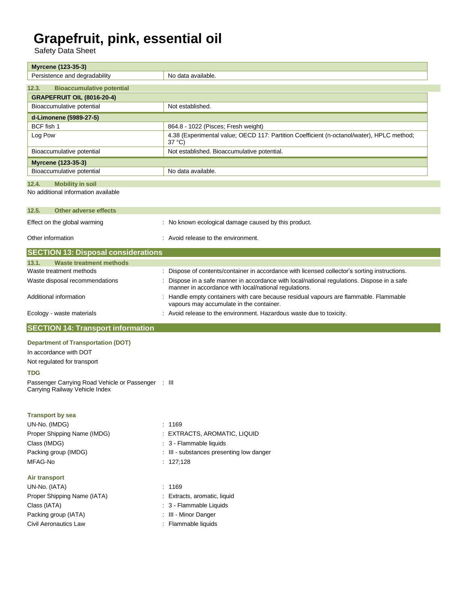Safety Data Sheet

| Safety Data Sheet                                                                    |                                                                                                                                                      |  |
|--------------------------------------------------------------------------------------|------------------------------------------------------------------------------------------------------------------------------------------------------|--|
| Myrcene (123-35-3)                                                                   |                                                                                                                                                      |  |
| Persistence and degradability<br>No data available.                                  |                                                                                                                                                      |  |
| 12.3.<br><b>Bioaccumulative potential</b>                                            |                                                                                                                                                      |  |
| <b>GRAPEFRUIT OIL (8016-20-4)</b>                                                    |                                                                                                                                                      |  |
| Bioaccumulative potential<br>Not established.                                        |                                                                                                                                                      |  |
| d-Limonene (5989-27-5)                                                               |                                                                                                                                                      |  |
| BCF fish 1                                                                           | 864.8 - 1022 (Pisces; Fresh weight)                                                                                                                  |  |
| Log Pow                                                                              | 4.38 (Experimental value; OECD 117: Partition Coefficient (n-octanol/water), HPLC method;<br>37 °C)                                                  |  |
| Bioaccumulative potential                                                            | Not established. Bioaccumulative potential.                                                                                                          |  |
| <b>Myrcene (123-35-3)</b>                                                            |                                                                                                                                                      |  |
| Bioaccumulative potential                                                            | No data available.                                                                                                                                   |  |
| 12.4.<br><b>Mobility in soil</b>                                                     |                                                                                                                                                      |  |
| No additional information available                                                  |                                                                                                                                                      |  |
|                                                                                      |                                                                                                                                                      |  |
| 12.5.<br><b>Other adverse effects</b>                                                |                                                                                                                                                      |  |
| Effect on the global warming                                                         | : No known ecological damage caused by this product.                                                                                                 |  |
| Other information                                                                    | : Avoid release to the environment.                                                                                                                  |  |
| <b>SECTION 13: Disposal considerations</b>                                           |                                                                                                                                                      |  |
| 13.1.<br><b>Waste treatment methods</b>                                              |                                                                                                                                                      |  |
| Waste treatment methods                                                              | : Dispose of contents/container in accordance with licensed collector's sorting instructions.                                                        |  |
| Waste disposal recommendations                                                       | : Dispose in a safe manner in accordance with local/national regulations. Dispose in a safe<br>manner in accordance with local/national regulations. |  |
| Additional information                                                               | : Handle empty containers with care because residual vapours are flammable. Flammable<br>vapours may accumulate in the container.                    |  |
| Ecology - waste materials                                                            | : Avoid release to the environment. Hazardous waste due to toxicity.                                                                                 |  |
| <b>SECTION 14: Transport information</b>                                             |                                                                                                                                                      |  |
| <b>Department of Transportation (DOT)</b>                                            |                                                                                                                                                      |  |
| In accordance with DOT                                                               |                                                                                                                                                      |  |
| Not regulated for transport                                                          |                                                                                                                                                      |  |
| <b>TDG</b>                                                                           |                                                                                                                                                      |  |
| Passenger Carrying Road Vehicle or Passenger : III<br>Carrying Railway Vehicle Index |                                                                                                                                                      |  |
| <b>Transport by sea</b>                                                              |                                                                                                                                                      |  |
| UN-No. (IMDG)                                                                        | : 1169                                                                                                                                               |  |

Proper Shipping Name (IMDG) : EXTRACTS, AROMATIC, LIQUID Class (IMDG) **:** 3 - Flammable liquids MFAG-No : 127;128

**Air transport**

UN-No. (IATA) : 1169 Proper Shipping Name (IATA) : Extracts, aromatic, liquid Class (IATA)  $\qquad \qquad$  : 3 - Flammable Liquids Packing group (IATA) : III - Minor Danger Civil Aeronautics Law **: Flammable liquids** 

Packing group (IMDG)  $\qquad \qquad \qquad$  : III - substances presenting low danger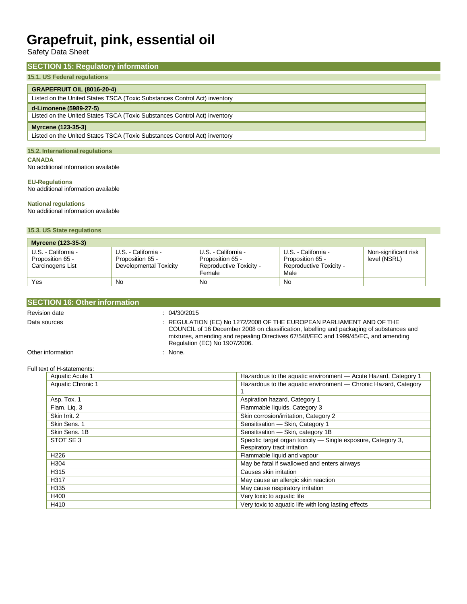Safety Data Sheet

#### **SECTION 15: Regulatory information**

#### **15.1. US Federal regulations**

#### **GRAPEFRUIT OIL (8016-20-4)**

Listed on the United States TSCA (Toxic Substances Control Act) inventory

#### **d-Limonene (5989-27-5)**

Listed on the United States TSCA (Toxic Substances Control Act) inventory

#### **Myrcene (123-35-3)**

Listed on the United States TSCA (Toxic Substances Control Act) inventory

#### **15.2. International regulations**

#### **CANADA**

No additional information available

#### **EU-Regulations**

No additional information available

#### **National regulations**

No additional information available

#### **15.3. US State regulations**

| <b>Myrcene (123-35-3)</b>                                   |                                                                   |                                                                              |                                                                            |                                      |
|-------------------------------------------------------------|-------------------------------------------------------------------|------------------------------------------------------------------------------|----------------------------------------------------------------------------|--------------------------------------|
| U.S. - California -<br>Proposition 65 -<br>Carcinogens List | U.S. - California -<br>Proposition 65 -<br>Developmental Toxicity | U.S. - California -<br>Proposition 65 -<br>Reproductive Toxicity -<br>Female | U.S. - California -<br>Proposition 65 -<br>Reproductive Toxicity -<br>Male | Non-significant risk<br>level (NSRL) |
| Yes                                                         | No                                                                | No                                                                           | No                                                                         |                                      |

#### **SECTION 16: Other information**

#### Revision date : 04/30/2015

Data sources **Superint Studies : REGULATION (EC) No 1272/2008 OF THE EUROPEAN PARLIAMENT AND OF THE** COUNCIL of 16 December 2008 on classification, labelling and packaging of substances and mixtures, amending and repealing Directives 67/548/EEC and 1999/45/EC, and amending Regulation (EC) No 1907/2006.

#### Other information in the set of the set of the set of the set of the set of the set of the set of the set of the set of the set of the set of the set of the set of the set of the set of the set of the set of the set of the

#### Full text of H-statements:

| Aquatic Acute 1   | Hazardous to the aquatic environment - Acute Hazard, Category 1                               |
|-------------------|-----------------------------------------------------------------------------------------------|
| Aquatic Chronic 1 | Hazardous to the aquatic environment - Chronic Hazard, Category                               |
| Asp. Tox. 1       | Aspiration hazard, Category 1                                                                 |
| Flam. Lig. 3      | Flammable liquids, Category 3                                                                 |
| Skin Irrit, 2     | Skin corrosion/irritation, Category 2                                                         |
| Skin Sens, 1      | Sensitisation - Skin, Category 1                                                              |
| Skin Sens, 1B     | Sensitisation - Skin, category 1B                                                             |
| STOT SE 3         | Specific target organ toxicity - Single exposure, Category 3,<br>Respiratory tract irritation |
| H <sub>226</sub>  | Flammable liquid and vapour                                                                   |
| H304              | May be fatal if swallowed and enters airways                                                  |
| H315              | Causes skin irritation                                                                        |
| H317              | May cause an allergic skin reaction                                                           |
| H335              | May cause respiratory irritation                                                              |
| H400              | Very toxic to aquatic life                                                                    |
| H410              | Very toxic to aquatic life with long lasting effects                                          |